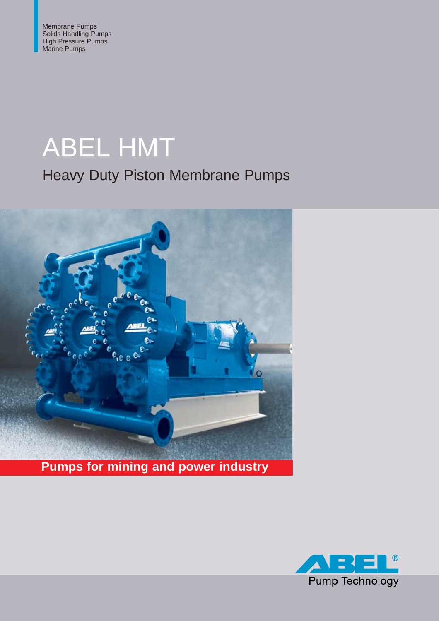Membrane Pumps Solids Handling Pumps High Pressure Pumps Marine Pumps

# ABEL HMT Heavy Duty Piston Membrane Pumps



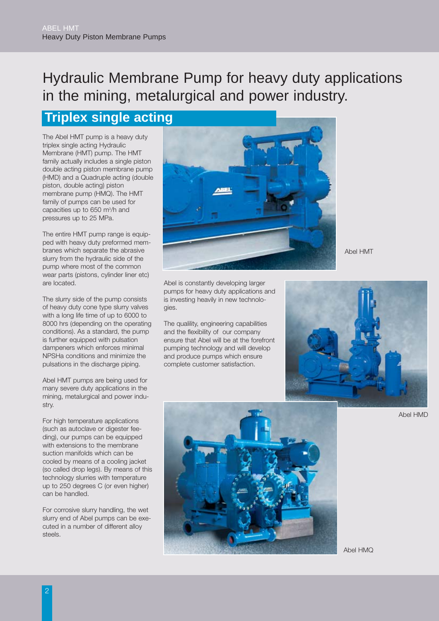# Hydraulic Membrane Pump for heavy duty applications in the mining, metalurgical and power industry.

### **Triplex single acting**

The Abel HMT pump is a heavy duty triplex single acting Hydraulic Membrane (HMT) pump. The HMT family actually includes a single piston double acting piston membrane pump (HMD) and a Quadruple acting (double piston, double acting) piston membrane pump (HMQ). The HMT family of pumps can be used for capacities up to 650 m<sup>3</sup>/h and pressures up to 25 MPa.

The entire HMT pump range is equipped with heavy duty preformed membranes which separate the abrasive slurry from the hydraulic side of the pump where most of the common wear parts (pistons, cylinder liner etc) are located.

The slurry side of the pump consists of heavy duty cone type slurry valves with a long life time of up to 6000 to 8000 hrs (depending on the operating conditions). As a standard, the pump is further equipped with pulsation dampeners which enforces minimal NPSHa conditions and minimize the pulsations in the discharge piping.

Abel HMT pumps are being used for many severe duty applications in the mining, metalurgical and power industry.

For high temperature applications (such as autoclave or digester feeding), our pumps can be equipped with extensions to the membrane suction manifolds which can be cooled by means of a cooling jacket (so called drop legs). By means of this technology slurries with temperature up to 250 degrees C (or even higher) can be handled.

For corrosive slurry handling, the wet slurry end of Abel pumps can be executed in a number of different alloy steels.



Abel HMT

Abel is constantly developing larger pumps for heavy duty applications and is investing heavily in new technologies.

The qualility, engineering capabilities and the flexibility of our company ensure that Abel will be at the forefront pumping technology and will develop and produce pumps which ensure complete customer satisfaction.





Abel HMD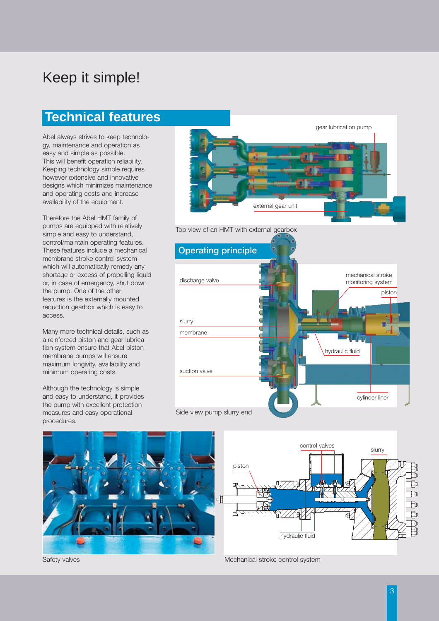# Keep it simple!

### **Technical features**

Abel always strives to keep technology, maintenance and operation as easy and simple as possible. This will benefit operation reliability. Keeping technology simple requires however extensive and innovative designs which minimizes maintenance and operating costs and increase availability of the equipment.

Therefore the Abel HMT family of pumps are equipped with relatively simple and easy to understand, control/maintain operating features. These features include a mechanical membrane stroke control system which will automatically remedy any shortage or excess of propelling liquid or, in case of emergency, shut down the pump. One of the other features is the externally mounted reduction gearbox which is easy to access.

Many more technical details, such as a reinforced piston and gear lubrication system ensure that Abel piston membrane pumps will ensure maximum longivity, availability and minimum operating costs.

Although the technology is simple and easy to understand, it provides the pump with excellent protection measures and easy operational procedures.



Top view of an HMT with external gearbox







Mechanical stroke control system

Safety valves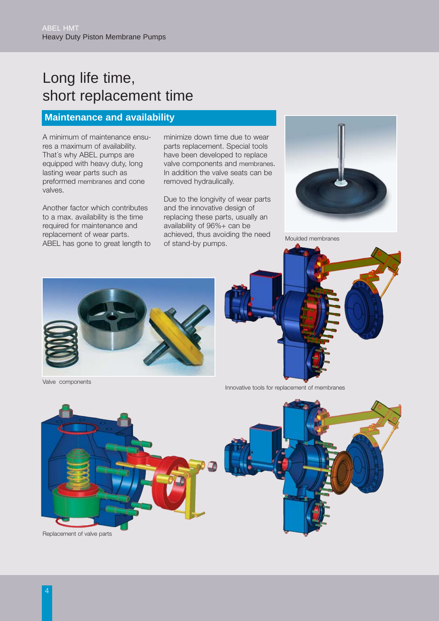# Long life time, short replacement time

### **Maintenance and availability**

A minimum of maintenance ensures a maximum of availability. That´s why ABEL pumps are equipped with heavy duty, long lasting wear parts such as preformed membranes and cone valves.

Another factor which contributes to a max. availability is the time required for maintenance and replacement of wear parts. ABEL has gone to great length to minimize down time due to wear parts replacement. Special tools have been developed to replace valve components and membranes. In addition the valve seats can be removed hydraulically.

Due to the longivity of wear parts and the innovative design of replacing these parts, usually an availability of 96%+ can be achieved, thus avoiding the need of stand-by pumps.



Moulded membranes



Valve components



Innovative tools for replacement of membranes



4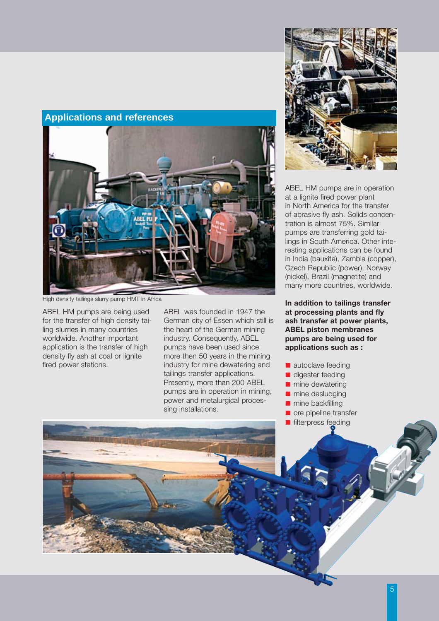

High density tailings slurry pump HMT in Africa

ABEL HM pumps are being used for the transfer of high density tailing slurries in many countries worldwide. Another important application is the transfer of high density fly ash at coal or lignite fired power stations.

ABEL was founded in 1947 the German city of Essen which still is the heart of the German mining industry. Consequently, ABEL pumps have been used since more then 50 years in the mining industry for mine dewatering and tailings transfer applications. Presently, more than 200 ABEL pumps are in operation in mining, power and metalurgical processing installations.



ABEL HM pumps are in operation at a lignite fired power plant in North America for the transfer of abrasive fly ash. Solids concentration is almost 75%. Similar pumps are transferring gold tailings in South America. Other interesting applications can be found in India (bauxite), Zambia (copper), Czech Republic (power), Norway (nickel), Brazil (magnetite) and many more countries, worldwide.

**In addition to tailings transfer at processing plants and fly ash transfer at power plants, ABEL piston membranes pumps are being used for applications such as :**

- autoclave feeding
- digester feeding
- mine dewatering
- mine desludging
- mine backfilling
- ore pipeline transfer
- filterpress feeding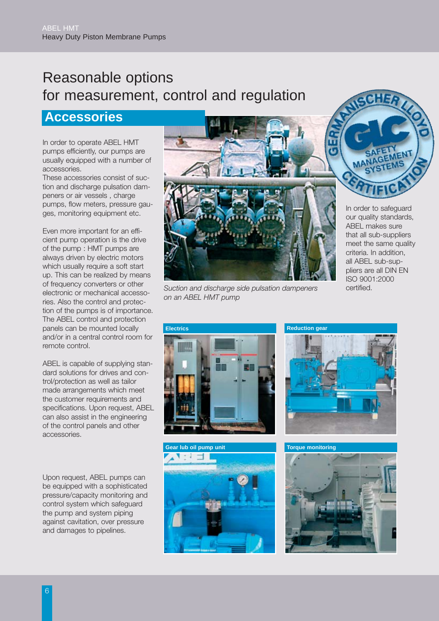# Reasonable options for measurement, control and regulation

### **Accessories**

In order to operate ABEL HMT pumps efficiently, our pumps are usually equipped with a number of accessories.

These accessories consist of suction and discharge pulsation dampeners or air vessels , charge pumps, flow meters, pressure gauges, monitoring equipment etc.

Even more important for an efficient pump operation is the drive of the pump : HMT pumps are always driven by electric motors which usually require a soft start up. This can be realized by means of frequency converters or other electronic or mechanical accessories. Also the control and protection of the pumps is of importance. The ABEL control and protection panels can be mounted locally and/or in a central control room for remote control.

ABEL is capable of supplying standard solutions for drives and control/protection as well as tailor made arrangements which meet the customer requirements and specifications. Upon request, ABEL can also assist in the engineering of the control panels and other accessories.

Upon request, ABEL pumps can be equipped with a sophisticated pressure/capacity monitoring and control system which safeguard the pump and system piping against cavitation, over pressure and damages to pipelines.



*Suction and discharge side pulsation dampeners on an ABEL HMT pump*



In order to safeguard our quality standards, ABEL makes sure that all sub-suppliers meet the same quality criteria. In addition, all ABEL sub-suppliers are all DIN EN ISO 9001:2000 certified.







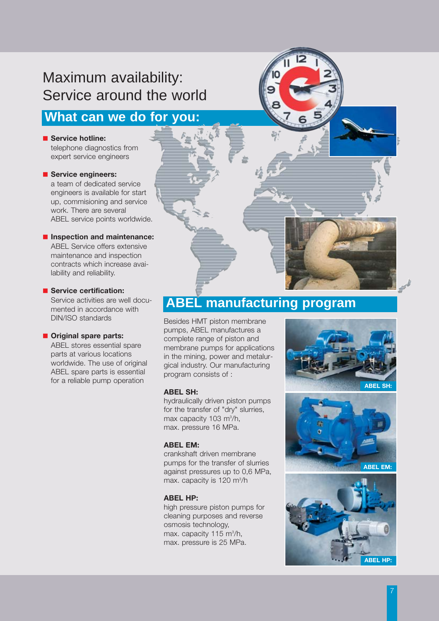# Maximum availability: Service around the world

### **What can we do for you:**

■ **Service hotline:** telephone diagnostics from expert service engineers

■ **Service engineers:** a team of dedicated service engineers is available for start up, commisioning and service work. There are several ABEL service points worldwide.

#### ■ **Inspection and maintenance:**

ABEL Service offers extensive maintenance and inspection contracts which increase availability and reliability.

■ **Service certification:** Service activities are well documented in accordance with DIN/ISO standards

### ■ **Original spare parts:**

ABEL stores essential spare parts at various locations worldwide. The use of original ABEL spare parts is essential for a reliable pump operation

**ABEL manufacturing program**

Besides HMT piston membrane pumps, ABEL manufactures a complete range of piston and membrane pumps for applications in the mining, power and metalurgical industry. Our manufacturing program consists of :

### **ABEL SH:**

hydraulically driven piston pumps for the transfer of "dry" slurries, max capacity 103 m<sup>3</sup>/h, max. pressure 16 MPa.

#### **ABEL EM:**

crankshaft driven membrane pumps for the transfer of slurries against pressures up to 0,6 MPa, max. capacity is 120 m<sup>3</sup>/h

#### **ABEL HP:**

high pressure piston pumps for cleaning purposes and reverse osmosis technology, max. capacity 115 m<sup>3</sup>/h, max. pressure is 25 MPa.